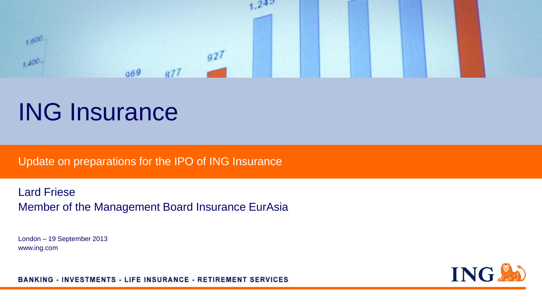

# ING Insurance

Update on preparations for the IPO of ING Insurance

Lard Friese Member of the Management Board Insurance EurAsia

London – 19 September 2013 www.ing.com



**BANKING - INVESTMENTS - LIFE INSURANCE - RETIREMENT SERVICES**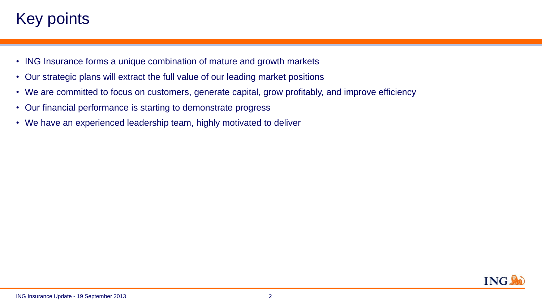## Key points.

- ING Insurance forms a unique combination of mature and growth markets
- Our strategic plans will extract the full value of our leading market positions
- We are committed to focus on customers, generate capital, grow profitably, and improve efficiency
- Our financial performance is starting to demonstrate progress
- We have an experienced leadership team, highly motivated to deliver

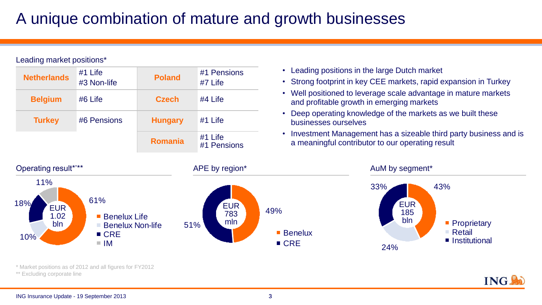## A unique combination of mature and growth businesses

Leading market positions\*

| <b>Netherlands</b> | $#1$ Life<br>#3 Non-life | <b>Poland</b>  | #1 Pensions<br>#7 Life   |
|--------------------|--------------------------|----------------|--------------------------|
| <b>Belgium</b>     | $#6$ Life                | <b>Czech</b>   | $#4$ Life                |
| <b>Turkey</b>      | #6 Pensions              | <b>Hungary</b> | $#1$ Life                |
|                    |                          | <b>Romania</b> | $#1$ Life<br>#1 Pensions |

- Leading positions in the large Dutch market
- Strong footprint in key CEE markets, rapid expansion in Turkey
- Well positioned to leverage scale advantage in mature markets and profitable growth in emerging markets
- Deep operating knowledge of the markets as we built these businesses ourselves
- Investment Management has a sizeable third party business and is a meaningful contributor to our operating result

ING.



\* Market positions as of 2012 and all figures for FY2012

\*\* Excluding corporate line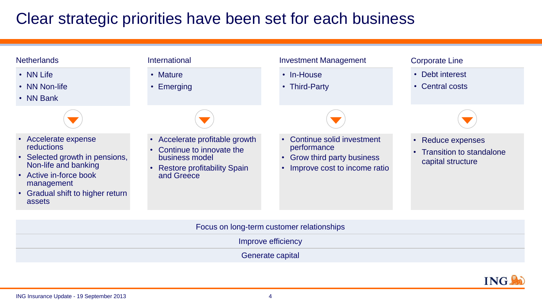## Clear strategic priorities have been set for each business

| <b>Netherlands</b>                                                                                                                                                                        | International                                                                                                                  | <b>Investment Management</b>                                                                                 | <b>Corporate Line</b>                                                   |
|-------------------------------------------------------------------------------------------------------------------------------------------------------------------------------------------|--------------------------------------------------------------------------------------------------------------------------------|--------------------------------------------------------------------------------------------------------------|-------------------------------------------------------------------------|
| • NN Life<br>• NN Non-life<br>• NN Bank                                                                                                                                                   | • Mature<br>• Emerging                                                                                                         | • In-House<br>• Third-Party                                                                                  | • Debt interest<br>• Central costs                                      |
|                                                                                                                                                                                           |                                                                                                                                |                                                                                                              |                                                                         |
| • Accelerate expense<br><b>reductions</b><br>• Selected growth in pensions,<br>Non-life and banking<br>• Active in-force book<br>management<br>• Gradual shift to higher return<br>assets | Accelerate profitable growth<br>Continue to innovate the<br>business model<br><b>Restore profitability Spain</b><br>and Greece | Continue solid investment<br>performance<br><b>Grow third party business</b><br>Improve cost to income ratio | Reduce expenses<br><b>Transition to standalone</b><br>capital structure |
|                                                                                                                                                                                           |                                                                                                                                | Focus on long-term customer relationships                                                                    |                                                                         |

Improve efficiency

Generate capital

**ING!**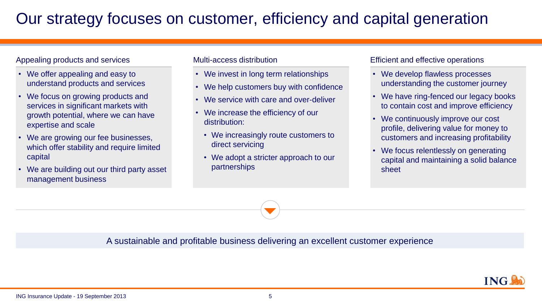## Our strategy focuses on customer, efficiency and capital generation

### Appealing products and services

- We offer appealing and easy to understand products and services
- We focus on growing products and services in significant markets with growth potential, where we can have expertise and scale
- We are growing our fee businesses, which offer stability and require limited capital
- We are building out our third party asset management business

### Multi-access distribution

- We invest in long term relationships
- We help customers buy with confidence
- We service with care and over-deliver
- We increase the efficiency of our distribution:
	- We increasingly route customers to direct servicing
	- We adopt a stricter approach to our partnerships

### Efficient and effective operations

- We develop flawless processes understanding the customer journey
- We have ring-fenced our legacy books to contain cost and improve efficiency
- We continuously improve our cost profile, delivering value for money to customers and increasing profitability
- We focus relentlessly on generating capital and maintaining a solid balance sheet

A sustainable and profitable business delivering an excellent customer experience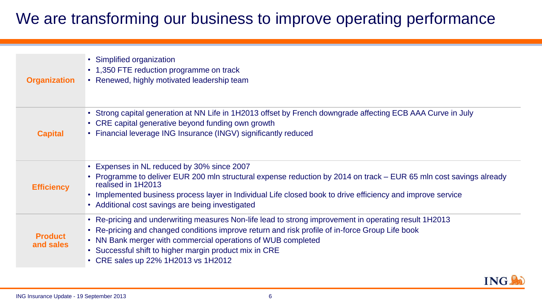## We are transforming our business to improve operating performance

| <b>Organization</b>         | • Simplified organization<br>• 1,350 FTE reduction programme on track<br>• Renewed, highly motivated leadership team                                                                                                                                                                                                                                                      |
|-----------------------------|---------------------------------------------------------------------------------------------------------------------------------------------------------------------------------------------------------------------------------------------------------------------------------------------------------------------------------------------------------------------------|
| <b>Capital</b>              | • Strong capital generation at NN Life in 1H2013 offset by French downgrade affecting ECB AAA Curve in July<br>• CRE capital generative beyond funding own growth<br>• Financial leverage ING Insurance (INGV) significantly reduced                                                                                                                                      |
| <b>Efficiency</b>           | • Expenses in NL reduced by 30% since 2007<br>• Programme to deliver EUR 200 mln structural expense reduction by 2014 on track - EUR 65 mln cost savings already<br>realised in 1H2013<br>• Implemented business process layer in Individual Life closed book to drive efficiency and improve service<br>• Additional cost savings are being investigated                 |
| <b>Product</b><br>and sales | • Re-pricing and underwriting measures Non-life lead to strong improvement in operating result 1H2013<br>• Re-pricing and changed conditions improve return and risk profile of in-force Group Life book<br>• NN Bank merger with commercial operations of WUB completed<br>• Successful shift to higher margin product mix in CRE<br>• CRE sales up 22% 1H2013 vs 1H2012 |

ING.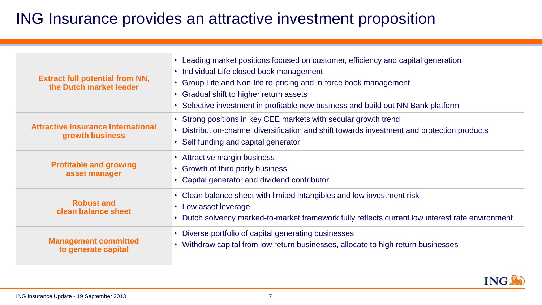## ING Insurance provides an attractive investment proposition

| <b>Extract full potential from NN,</b><br>the Dutch market leader | • Leading market positions focused on customer, efficiency and capital generation<br>• Individual Life closed book management<br>• Group Life and Non-life re-pricing and in-force book management<br>• Gradual shift to higher return assets<br>• Selective investment in profitable new business and build out NN Bank platform |
|-------------------------------------------------------------------|-----------------------------------------------------------------------------------------------------------------------------------------------------------------------------------------------------------------------------------------------------------------------------------------------------------------------------------|
| <b>Attractive Insurance International</b><br>growth business      | • Strong positions in key CEE markets with secular growth trend<br>• Distribution-channel diversification and shift towards investment and protection products<br>• Self funding and capital generator                                                                                                                            |
| <b>Profitable and growing</b><br>asset manager                    | • Attractive margin business<br>• Growth of third party business<br>• Capital generator and dividend contributor                                                                                                                                                                                                                  |
| <b>Robust and</b><br>clean balance sheet                          | • Clean balance sheet with limited intangibles and low investment risk<br>• Low asset leverage<br>Dutch solvency marked-to-market framework fully reflects current low interest rate environment                                                                                                                                  |
| <b>Management committed</b><br>to generate capital                | • Diverse portfolio of capital generating businesses<br>• Withdraw capital from low return businesses, allocate to high return businesses                                                                                                                                                                                         |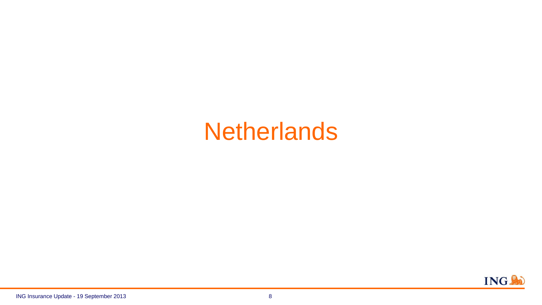# **Netherlands**

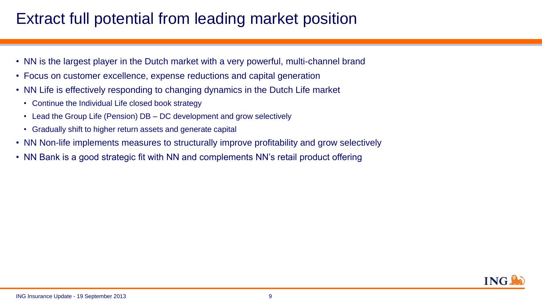## Extract full potential from leading market position

- NN is the largest player in the Dutch market with a very powerful, multi-channel brand
- Focus on customer excellence, expense reductions and capital generation
- NN Life is effectively responding to changing dynamics in the Dutch Life market
	- Continue the Individual Life closed book strategy
	- Lead the Group Life (Pension) DB DC development and grow selectively
	- Gradually shift to higher return assets and generate capital
- NN Non-life implements measures to structurally improve profitability and grow selectively
- NN Bank is a good strategic fit with NN and complements NN's retail product offering

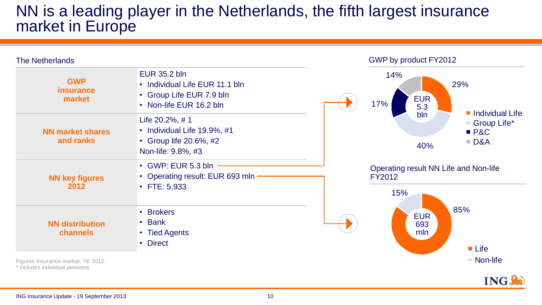### NN is a leading player in the Netherlands, the fifth largest insurance market in Europe

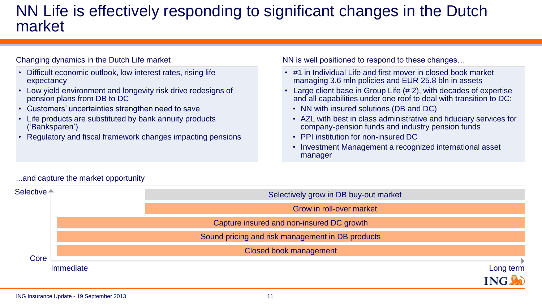### NN Life is effectively responding to significant changes in the Dutch market

### Changing dynamics in the Dutch Life market

- Difficult economic outlook, low interest rates, rising life expectancy
- Low yield environment and longevity risk drive redesigns of pension plans from DB to DC
- Customers' uncertainties strengthen need to save
- Life products are substituted by bank annuity products ('Banksparen')
- Regulatory and fiscal framework changes impacting pensions

NN is well positioned to respond to these changes…

- #1 in Individual Life and first mover in closed book market managing 3.6 mln policies and EUR 25.8 bln in assets
- Large client base in Group Life (# 2), with decades of expertise and all capabilities under one roof to deal with transition to DC:
	- NN with insured solutions (DB and DC)
	- AZL with best in class administrative and fiduciary services for company-pension funds and industry pension funds
	- PPI institution for non-insured DC
	- Investment Management a recognized international asset manager



### ...and capture the market opportunity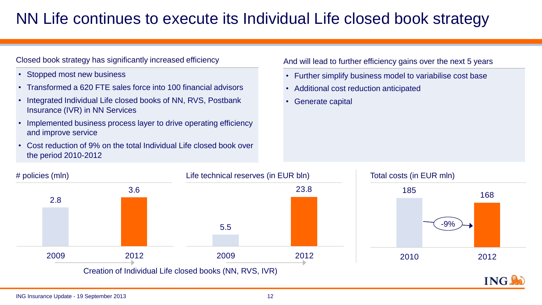## NN Life continues to execute its Individual Life closed book strategy

### Closed book strategy has significantly increased efficiency

- Stopped most new business
- Transformed a 620 FTE sales force into 100 financial advisors
- Integrated Individual Life closed books of NN, RVS, Postbank Insurance (IVR) in NN Services
- Implemented business process layer to drive operating efficiency and improve service
- Cost reduction of 9% on the total Individual Life closed book over the period 2010-2012

#### And will lead to further efficiency gains over the next 5 years

- Further simplify business model to variabilise cost base
- Additional cost reduction anticipated
- Generate capital

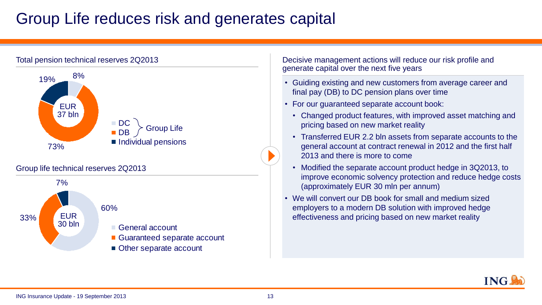## Group Life reduces risk and generates capital



Other separate account

Decisive management actions will reduce our risk profile and generate capital over the next five years

- Guiding existing and new customers from average career and final pay (DB) to DC pension plans over time
- For our guaranteed separate account book:
	- Changed product features, with improved asset matching and pricing based on new market reality
	- Transferred EUR 2.2 bln assets from separate accounts to the general account at contract renewal in 2012 and the first half 2013 and there is more to come
	- Modified the separate account product hedge in 3Q2013, to improve economic solvency protection and reduce hedge costs (approximately EUR 30 mln per annum)
- We will convert our DB book for small and medium sized employers to a modern DB solution with improved hedge effectiveness and pricing based on new market reality

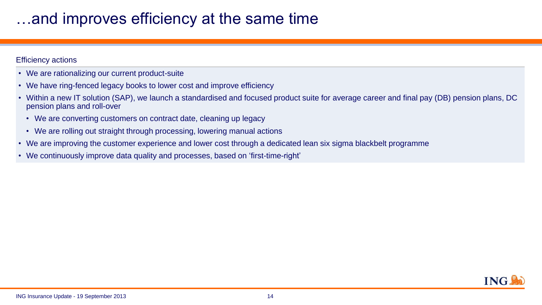## whereversely at the same time interching-<br>interact improves efficiency at the same time

### Efficiency actions

- We are rationalizing our current product-suite
- We have ring-fenced legacy books to lower cost and improve efficiency
- Within a new IT solution (SAP), we launch a standardised and focused product suite for average career and final pay (DB) pension plans, DC pension plans and roll-over
	- We are converting customers on contract date, cleaning up legacy
	- We are rolling out straight through processing, lowering manual actions
- We are improving the customer experience and lower cost through a dedicated lean six sigma blackbelt programme
- We continuously improve data quality and processes, based on 'first-time-right'

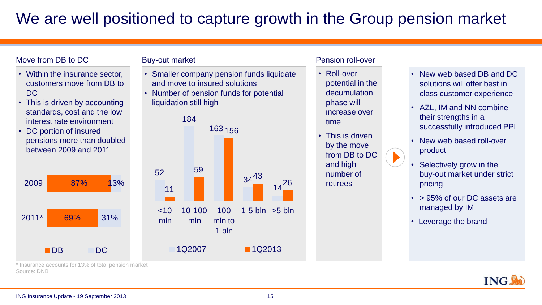## We are well positioned to capture growth in the Group pension market

### Move from DB to DC

- Within the insurance sector, customers move from DB to DC
- This is driven by accounting standards, cost and the low interest rate environment
- DC portion of insured pensions more than doubled between 2009 and 2011



### Buy-out market

- Smaller company pension funds liquidate and move to insured solutions
- Number of pension funds for potential liquidation still high



### Pension roll-over

- Roll-over potential in the decumulation phase will increase over time
- This is driven by the move from DB to DC and high number of retirees
- New web based DB and DC solutions will offer best in class customer experience
- AZL, IM and NN combine their strengths in a successfully introduced PPI
- New web based roll-over product
- Selectively grow in the buy-out market under strict pricing
- > 95% of our DC assets are managed by IM
- Leverage the brand



\* Insurance accounts for 13% of total pension market Source: DNB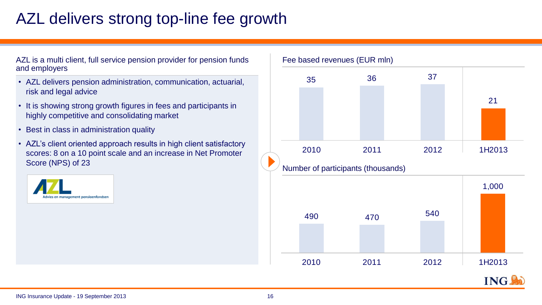## AZL delivers strong top-line fee growth

AZL is a multi client, full service pension provider for pension funds and employers

- AZL delivers pension administration, communication, actuarial, risk and legal advice
- It is showing strong growth figures in fees and participants in highly competitive and consolidating market
- Best in class in administration quality
- AZL's client oriented approach results in high client satisfactory scores: 8 on a 10 point scale and an increase in Net Promoter Score (NPS) of 23





Fee based revenues (EUR mln)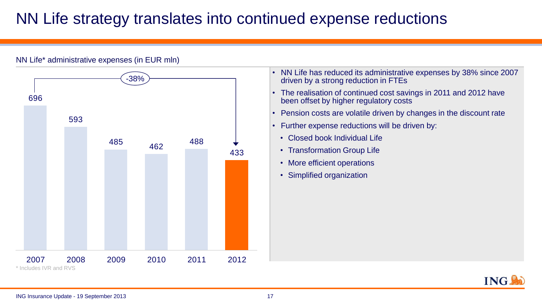## NN Life strategy translates into continued expense reductions



NN Life\* administrative expenses (in EUR mln)

- NN Life has reduced its administrative expenses by 38% since 2007 driven by a strong reduction in FTEs
- The realisation of continued cost savings in 2011 and 2012 have been offset by higher regulatory costs
- Pension costs are volatile driven by changes in the discount rate
- Further expense reductions will be driven by:
	- Closed book Individual Life
	- Transformation Group Life
	- More efficient operations
	- Simplified organization

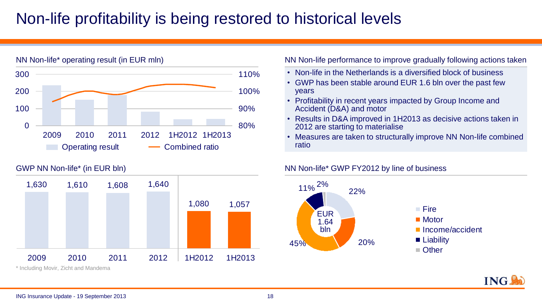## Non-life profitability is being restored to historical levels



### GWP NN Non-life\* (in EUR bln)



### NN Non-life performance to improve gradually following actions taken

- Non-life in the Netherlands is a diversified block of business
- GWP has been stable around EUR 1.6 bln over the past few years
- Profitability in recent years impacted by Group Income and Accident (D&A) and motor
- Results in D&A improved in 1H2013 as decisive actions taken in 2012 are starting to materialise
- Measures are taken to structurally improve NN Non-life combined ratio

### NN Non-life\* GWP FY2012 by line of business



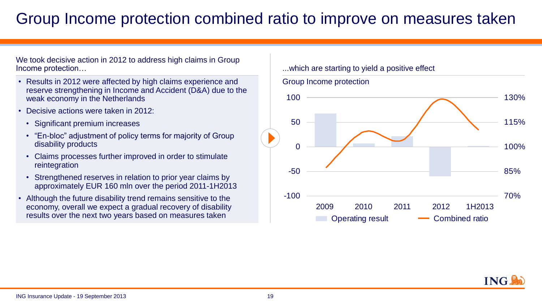## Group Income protection combined ratio to improve on measures taken

We took decisive action in 2012 to address high claims in Group Income protection…

- Results in 2012 were affected by high claims experience and reserve strengthening in Income and Accident (D&A) due to the weak economy in the Netherlands
- Decisive actions were taken in 2012:
	- Significant premium increases
	- "En-bloc" adjustment of policy terms for majority of Group disability products
	- Claims processes further improved in order to stimulate reintegration
	- Strengthened reserves in relation to prior year claims by approximately EUR 160 mln over the period 2011-1H2013
- Although the future disability trend remains sensitive to the economy, overall we expect a gradual recovery of disability results over the next two years based on measures taken

### ...which are starting to yield a positive effect



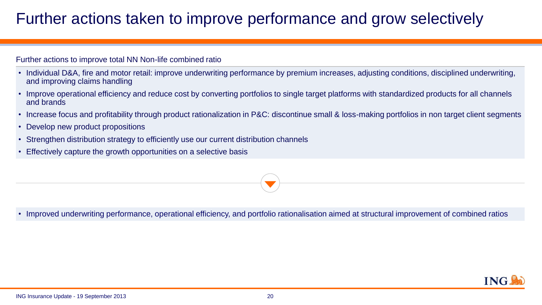## Further actions taken to improve performance and grow selectively

### Further actions to improve total NN Non-life combined ratio

- Individual D&A, fire and motor retail: improve underwriting performance by premium increases, adjusting conditions, disciplined underwriting, and improving claims handling
- Improve operational efficiency and reduce cost by converting portfolios to single target platforms with standardized products for all channels and brands
- Increase focus and profitability through product rationalization in P&C: discontinue small & loss-making portfolios in non target client segments
- Develop new product propositions
- Strengthen distribution strategy to efficiently use our current distribution channels
- Effectively capture the growth opportunities on a selective basis



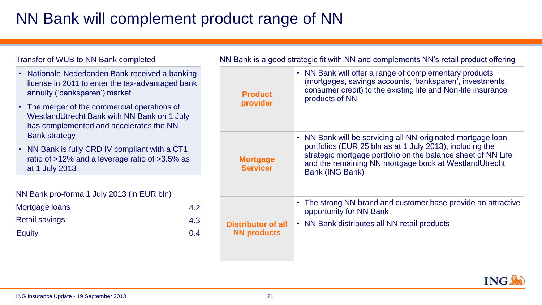## NN Bank will complement product range of NN

| <b>Transfer of WUB to NN Bank completed</b>                                                                                            |                                    | NN Bank is a good strategic fit with NN and complements NN's retail product offering                                                                                                                        |  |  |
|----------------------------------------------------------------------------------------------------------------------------------------|------------------------------------|-------------------------------------------------------------------------------------------------------------------------------------------------------------------------------------------------------------|--|--|
| • Nationale-Nederlanden Bank received a banking<br>license in 2011 to enter the tax-advantaged bank<br>annuity ('banksparen') market   | <b>Product</b>                     | • NN Bank will offer a range of complementary products<br>(mortgages, savings accounts, 'banksparen', investments,<br>consumer credit) to the existing life and Non-life insurance<br>products of NN        |  |  |
| • The merger of the commercial operations of<br>WestlandUtrecht Bank with NN Bank on 1 July<br>has complemented and accelerates the NN | provider                           |                                                                                                                                                                                                             |  |  |
| <b>Bank strategy</b>                                                                                                                   |                                    | • NN Bank will be servicing all NN-originated mortgage loan                                                                                                                                                 |  |  |
| • NN Bank is fully CRD IV compliant with a CT1<br>ratio of >12% and a leverage ratio of >3.5% as<br>at 1 July 2013                     | <b>Mortgage</b><br><b>Servicer</b> | portfolios (EUR 25 bln as at 1 July 2013), including the<br>strategic mortgage portfolio on the balance sheet of NN Life<br>and the remaining NN mortgage book at WestlandUtrecht<br><b>Bank (ING Bank)</b> |  |  |
|                                                                                                                                        |                                    |                                                                                                                                                                                                             |  |  |
| NN Bank pro-forma 1 July 2013 (in EUR bln)                                                                                             |                                    |                                                                                                                                                                                                             |  |  |
| Mortgage loans<br>4.2                                                                                                                  |                                    | • The strong NN brand and customer base provide an attractive<br>opportunity for NN Bank                                                                                                                    |  |  |
| <b>Retail savings</b><br>4.3                                                                                                           | <b>Distributor of all</b>          | • NN Bank distributes all NN retail products                                                                                                                                                                |  |  |
| <b>Equity</b><br>0.4                                                                                                                   | <b>NN products</b>                 |                                                                                                                                                                                                             |  |  |
|                                                                                                                                        |                                    |                                                                                                                                                                                                             |  |  |

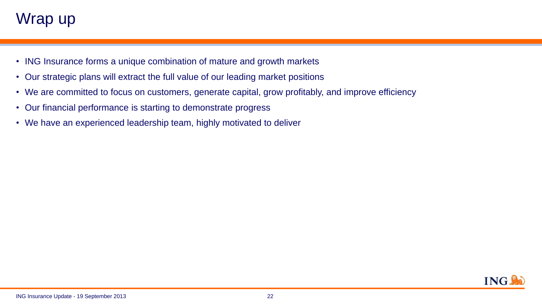## Wrap up

- ING Insurance forms a unique combination of mature and growth markets
- Our strategic plans will extract the full value of our leading market positions
- We are committed to focus on customers, generate capital, grow profitably, and improve efficiency
- Our financial performance is starting to demonstrate progress
- We have an experienced leadership team, highly motivated to deliver

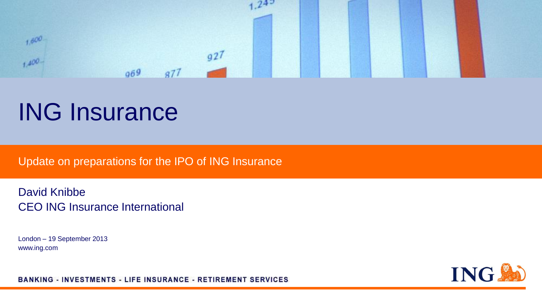

# ING Insurance

Update on preparations for the IPO of ING Insurance

David Knibbe CEO ING Insurance International

London – 19 September 2013 www.ing.com

**ING SO** 

**BANKING - INVESTMENTS - LIFE INSURANCE - RETIREMENT SERVICES**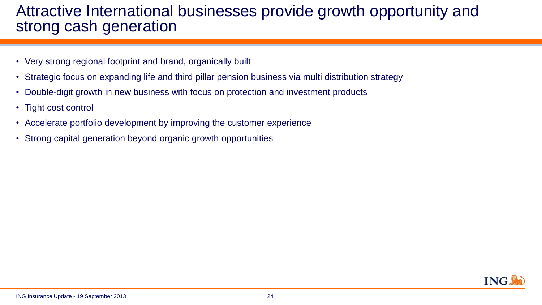### Attractive International businesses provide growth opportunity and strong cash generation

- Very strong regional footprint and brand, organically built
- Strategic focus on expanding life and third pillar pension business via multi distribution strategy
- Double-digit growth in new business with focus on protection and investment products
- Tight cost control
- Accelerate portfolio development by improving the customer experience
- Strong capital generation beyond organic growth opportunities

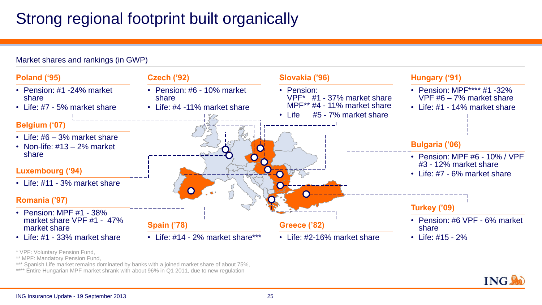## Strong regional footprint built organically

### Market shares and rankings (in GWP)



<sup>\*</sup> VPF: Voluntary Pension Fund,

- \*\* MPF: Mandatory Pension Fund.
- \*\*\* Spanish Life market remains dominated by banks with a joined market share of about 75%,

\*\*\*\* Entire Hungarian MPF market shrank with about 96% in Q1 2011, due to new regulation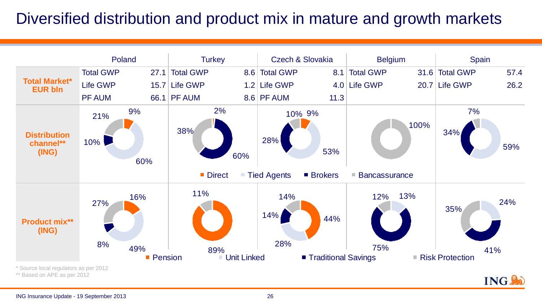## Diversified distribution and product mix in mature and growth markets

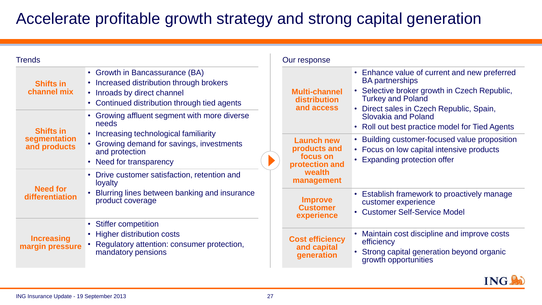## Accelerate profitable growth strategy and strong capital generation

| <b>Trends</b>                        |                                                                                                                                                           | Our response                                              |                                                                                                                                                    |  |
|--------------------------------------|-----------------------------------------------------------------------------------------------------------------------------------------------------------|-----------------------------------------------------------|----------------------------------------------------------------------------------------------------------------------------------------------------|--|
| <b>Shifts in</b><br>channel mix      | • Growth in Bancassurance (BA)<br>• Increased distribution through brokers<br>• Inroads by direct channel<br>• Continued distribution through tied agents | <b>Multi-channel</b><br><b>distribution</b><br>and access | • Enhance value of current and new preferred<br><b>BA</b> partnerships<br>• Selective broker growth in Czech Republic,<br><b>Turkey and Poland</b> |  |
| <b>Shifts in</b>                     | • Growing affluent segment with more diverse<br>needs                                                                                                     |                                                           | • Direct sales in Czech Republic, Spain,<br><b>Slovakia and Poland</b><br>• Roll out best practice model for Tied Agents                           |  |
| segmentation<br>and products         | • Increasing technological familiarity<br>• Growing demand for savings, investments<br>and protection<br>• Need for transparency                          | Launch new<br>products and<br>focus on<br>protection and  | • Building customer-focused value proposition<br>• Focus on low capital intensive products<br>• Expanding protection offer                         |  |
|                                      | • Drive customer satisfaction, retention and<br>loyalty                                                                                                   | wealth<br>management                                      |                                                                                                                                                    |  |
| <b>Need for</b><br>differentiation   | • Blurring lines between banking and insurance<br>product coverage                                                                                        | <b>Improve</b><br><b>Customer</b><br>experience           | • Establish framework to proactively manage<br>customer experience<br>• Customer Self-Service Model                                                |  |
|                                      | • Stiffer competition<br>• Higher distribution costs                                                                                                      |                                                           | • Maintain cost discipline and improve costs                                                                                                       |  |
| <b>Increasing</b><br>margin pressure | • Regulatory attention: consumer protection,<br>mandatory pensions                                                                                        | <b>Cost efficiency</b><br>and capital<br>generation       | efficiency<br>Strong capital generation beyond organic<br>growth opportunities                                                                     |  |

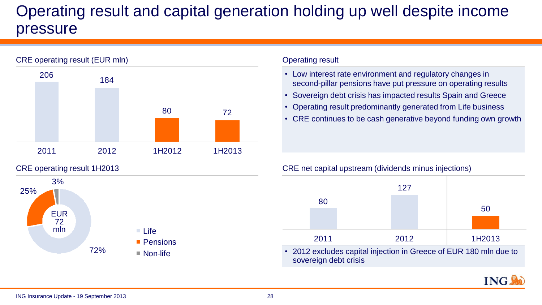# Operating result and capital generation holding up well despite income pressure

# CRE operating result (EUR mln) 80 72 <sup>184</sup> <sup>206</sup> 2011 2012 1H2012 1H2013

### CRE operating result 1H2013



### Operating result

- Low interest rate environment and regulatory changes in second-pillar pensions have put pressure on operating results
- Sovereign debt crisis has impacted results Spain and Greece
- Operating result predominantly generated from Life business
- CRE continues to be cash generative beyond funding own growth

### CRE net capital upstream (dividends minus injections)



• 2012 excludes capital injection in Greece of EUR 180 mln due to sovereign debt crisis

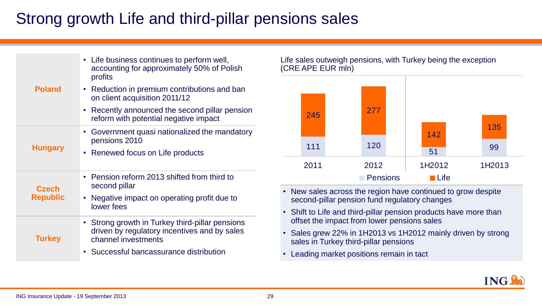## Strong growth Life and third-pillar pensions sales

| <b>Poland</b>                   | • Life business continues to perform well,<br>accounting for approximately 50% of Polish<br>profits<br>Reduction in premium contributions and ban<br>$\bullet$<br>on client acquisition 2011/12<br>Recently announced the second pillar pension<br>$\bullet$<br>reform with potential negative impact |
|---------------------------------|-------------------------------------------------------------------------------------------------------------------------------------------------------------------------------------------------------------------------------------------------------------------------------------------------------|
| <b>Hungary</b>                  | Government quasi nationalized the mandatory<br>pensions 2010<br>Renewed focus on Life products<br>$\bullet$                                                                                                                                                                                           |
| <b>Czech</b><br><b>Republic</b> | • Pension reform 2013 shifted from third to<br>second pillar<br>Negative impact on operating profit due to<br>$\bullet$<br>lower fees                                                                                                                                                                 |
| <b>Turkey</b>                   | • Strong growth in Turkey third-pillar pensions<br>driven by regulatory incentives and by sales<br>channel investments<br>Successful bancassurance distribution<br>$\bullet$                                                                                                                          |

### Life sales outweigh pensions, with Turkey being the exception (CRE APE EUR mln)



- New sales across the region have continued to grow despite second-pillar pension fund regulatory changes
- Shift to Life and third-pillar pension products have more than offset the impact from lower pensions sales
- Sales grew 22% in 1H2013 vs 1H2012 mainly driven by strong sales in Turkey third-pillar pensions
- Leading market positions remain in tact

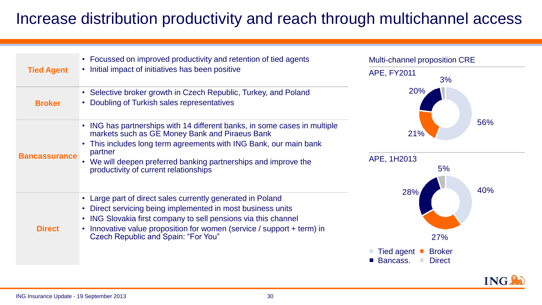## Increase distribution productivity and reach through multichannel access

|                      | • Focussed on improved productivity and retention of tied agents                                                                                                                                                                                                                                                        | Multi-channel proposition CRE                                                 |  |
|----------------------|-------------------------------------------------------------------------------------------------------------------------------------------------------------------------------------------------------------------------------------------------------------------------------------------------------------------------|-------------------------------------------------------------------------------|--|
| <b>Tied Agent</b>    | • Initial impact of initiatives has been positive                                                                                                                                                                                                                                                                       | <b>APE, FY2011</b><br>3%                                                      |  |
| <b>Broker</b>        | • Selective broker growth in Czech Republic, Turkey, and Poland<br>• Doubling of Turkish sales representatives                                                                                                                                                                                                          | <b>20%</b>                                                                    |  |
| <b>Bancassurance</b> | • ING has partnerships with 14 different banks, in some cases in multiple<br>markets such as GE Money Bank and Piraeus Bank<br>• This includes long term agreements with ING Bank, our main bank<br>partner<br>• We will deepen preferred banking partnerships and improve the<br>productivity of current relationships | 56%<br>21%<br>APE, 1H2013<br>5%                                               |  |
| <b>Direct</b>        | • Large part of direct sales currently generated in Poland<br>• Direct servicing being implemented in most business units<br>• ING Slovakia first company to sell pensions via this channel<br>• Innovative value proposition for women (service / support + term) in<br>Czech Republic and Spain: "For You"            | 40%<br>28%<br>27%<br><b>Broker</b><br>Tied agent<br>Bancass.<br><b>Direct</b> |  |

**ING.**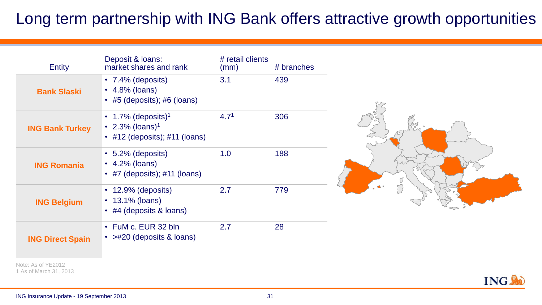## Long term partnership with ING Bank offers attractive growth opportunities

| <b>Entity</b>           | Deposit & Ioans:<br>market shares and rank                                                           | # retail clients<br>(mm) | # branches |
|-------------------------|------------------------------------------------------------------------------------------------------|--------------------------|------------|
| <b>Bank Slaski</b>      | • $7.4\%$ (deposits)<br>$\cdot$ 4.8% (loans)<br>• #5 (deposits); #6 (loans)                          | 3.1                      | 439        |
| <b>ING Bank Turkey</b>  | • 1.7% (deposits) <sup>1</sup><br>• 2.3% (loans) <sup>1</sup><br>• $\#12$ (deposits); $\#11$ (loans) | 4.7 <sup>1</sup>         | 306        |
| <b>ING Romania</b>      | $\cdot$ 5.2% (deposits)<br>$\cdot$ 4.2% (loans)<br>• #7 (deposits); #11 (loans)                      | 1.0                      | 188        |
| <b>ING Belgium</b>      | $\cdot$ 12.9% (deposits)<br>• $13.1\%$ (loans)<br>$\cdot$ #4 (deposits & loans)                      | 2.7                      | 779        |
| <b>ING Direct Spain</b> | • FuM c. EUR 32 bln<br>• $>$ #20 (deposits & loans)                                                  | 2.7                      | 28         |



Note: As of YE2012 1 As of March 31, 2013

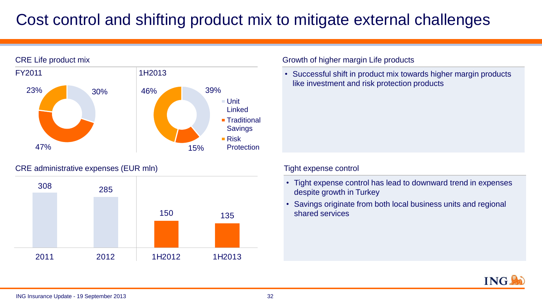# Cost control and shifting product mix to mitigate external challenges



### CRE administrative expenses (EUR mln)



### Growth of higher margin Life products

• Successful shift in product mix towards higher margin products like investment and risk protection products

### Tight expense control

- Tight expense control has lead to downward trend in expenses despite growth in Turkey
- Savings originate from both local business units and regional shared services

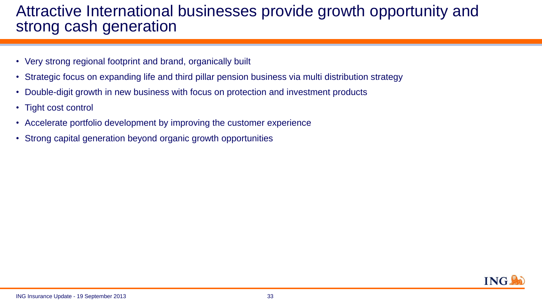### Attractive International businesses provide growth opportunity and strong cash generation

- Very strong regional footprint and brand, organically built
- Strategic focus on expanding life and third pillar pension business via multi distribution strategy
- Double-digit growth in new business with focus on protection and investment products
- Tight cost control
- Accelerate portfolio development by improving the customer experience
- Strong capital generation beyond organic growth opportunities

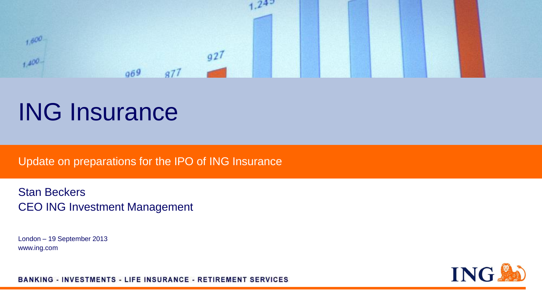

# ING Insurance

Update on preparations for the IPO of ING Insurance

Stan Beckers CEO ING Investment Management

London – 19 September 2013 www.ing.com

**ING Set** 

**BANKING - INVESTMENTS - LIFE INSURANCE - RETIREMENT SERVICES**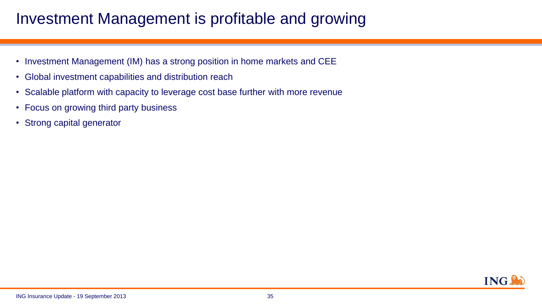## Investment Management is profitable and growing

- Investment Management (IM) has a strong position in home markets and CEE
- Global investment capabilities and distribution reach
- Scalable platform with capacity to leverage cost base further with more revenue
- Focus on growing third party business
- Strong capital generator

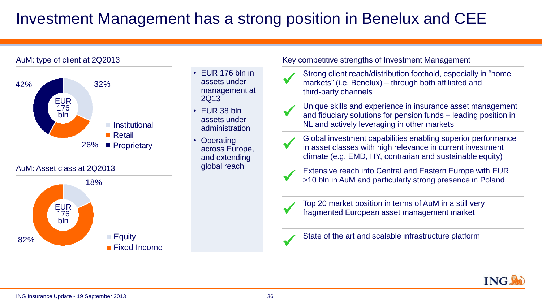## Investment Management has a strong position in Benelux and CEE

### AuM: type of client at 2Q2013





- EUR 176 bln in assets under management at 2Q13
- EUR 38 bln assets under administration
- Operating across Europe, and extending global reach

### Key competitive strengths of Investment Management

- Strong client reach/distribution foothold, especially in<br>markets" (i.e. Benelux) through both affiliated and Strong client reach/distribution foothold, especially in "home third-party channels
- Unique skills and experience in insurance asset management<br>and fiduciary solutions for pension funds leading position in Unique skills and experience in insurance asset management NL and actively leveraging in other markets
- in asset classes with high relevance in current investment Global investment capabilities enabling superior performance climate (e.g. EMD, HY, contrarian and sustainable equity)
- 

Extensive reach into Central and Eastern Europe with EUI<br>>10 bln in AuM and particularly strong presence in Poland Extensive reach into Central and Eastern Europe with EUR



**Figure 10 and 10 September 10 and 10 September 10 September 10 and 10 September 10 September 10 and 10 September 10 September 10 September 10 September 10 September 10 September 10 September 10 September 10 September 10 S** Top 20 market position in terms of AuM in a still very

| State of the art and scalable infrastructure platform. |
|--------------------------------------------------------|
|                                                        |

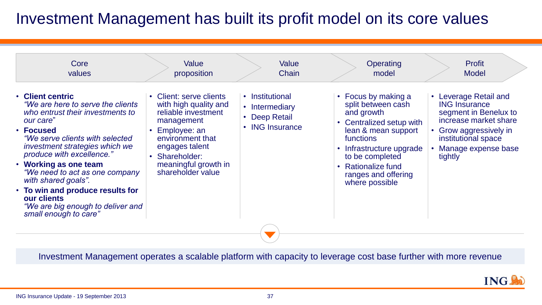## Investment Management has built its profit model on its core values

| values                                                                                                                                                                                                                                                                                                                                                                                                                         | proposition                                                                                                                                                                                            | Chain                                                                            | model                                                                                                                                                                                                                                          | <b>Model</b>                                                                                                                                                                     |
|--------------------------------------------------------------------------------------------------------------------------------------------------------------------------------------------------------------------------------------------------------------------------------------------------------------------------------------------------------------------------------------------------------------------------------|--------------------------------------------------------------------------------------------------------------------------------------------------------------------------------------------------------|----------------------------------------------------------------------------------|------------------------------------------------------------------------------------------------------------------------------------------------------------------------------------------------------------------------------------------------|----------------------------------------------------------------------------------------------------------------------------------------------------------------------------------|
| • Client centric<br>"We are here to serve the clients"<br>who entrust their investments to<br>our care"<br>• Focused<br>"We serve clients with selected<br>investment strategies which we<br>produce with excellence."<br><b>Working as one team</b><br>"We need to act as one company<br>with shared goals".<br>• To win and produce results for<br>our clients<br>"We are big enough to deliver and<br>small enough to care" | Client: serve clients<br>with high quality and<br>reliable investment<br>management<br>Employee: an<br>environment that<br>engages talent<br>Shareholder:<br>meaningful growth in<br>shareholder value | • Institutional<br>Intermediary<br>$\bullet$<br>• Deep Retail<br>• ING Insurance | • Focus by making a<br>split between cash<br>and growth<br>Centralized setup with<br>lean & mean support<br>functions<br>Infrastructure upgrade<br>$\bullet$<br>to be completed<br>• Rationalize fund<br>ranges and offering<br>where possible | • Leverage Retail and<br><b>ING Insurance</b><br>segment in Benelux to<br>increase market share<br>Grow aggressively in<br>institutional space<br>Manage expense base<br>tightly |

Investment Management operates a scalable platform with capacity to leverage cost base further with more revenue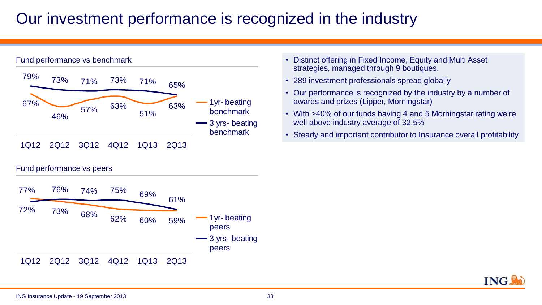## Our investment performance is recognized in the industry



- Distinct offering in Fixed Income, Equity and Multi Asset strategies, managed through 9 boutiques.
- 289 investment professionals spread globally
- Our performance is recognized by the industry by a number of awards and prizes (Lipper, Morningstar)
- With >40% of our funds having 4 and 5 Morningstar rating we're well above industry average of 32.5%
- Steady and important contributor to Insurance overall profitability

Fund performance vs peers



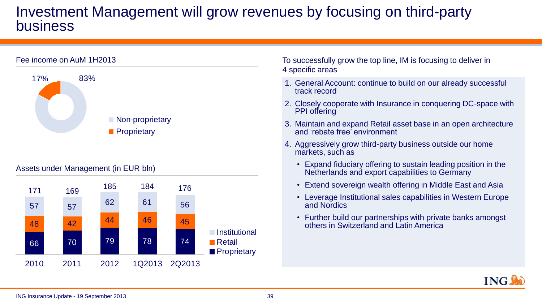### Investment Management will grow revenues by focusing on third-party business



### Assets under Management (in EUR bln)



To successfully grow the top line, IM is focusing to deliver in 4 specific areas

- 1. General Account: continue to build on our already successful track record
- 2. Closely cooperate with Insurance in conquering DC-space with PPI offering
- 3. Maintain and expand Retail asset base in an open architecture and 'rebate free' environment
- 4. Aggressively grow third-party business outside our home markets, such as
	- Expand fiduciary offering to sustain leading position in the Netherlands and export capabilities to Germany
	- Extend sovereign wealth offering in Middle East and Asia
	- Leverage Institutional sales capabilities in Western Europe and Nordics
	- Further build our partnerships with private banks amongst others in Switzerland and Latin America

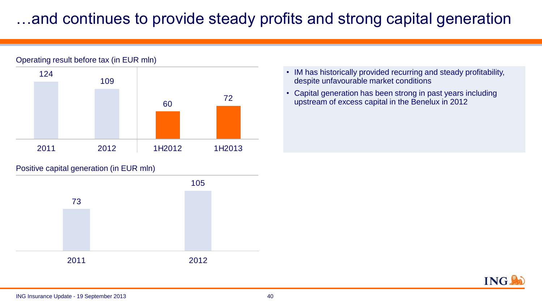## where the provide steady profits and strong capital generation



Positive capital generation (in EUR mln)



- IM has historically provided recurring and steady profitability, despite unfavourable market conditions
- Capital generation has been strong in past years including upstream of excess capital in the Benelux in 2012



#### ING Insurance Update - 19 September 2013 40